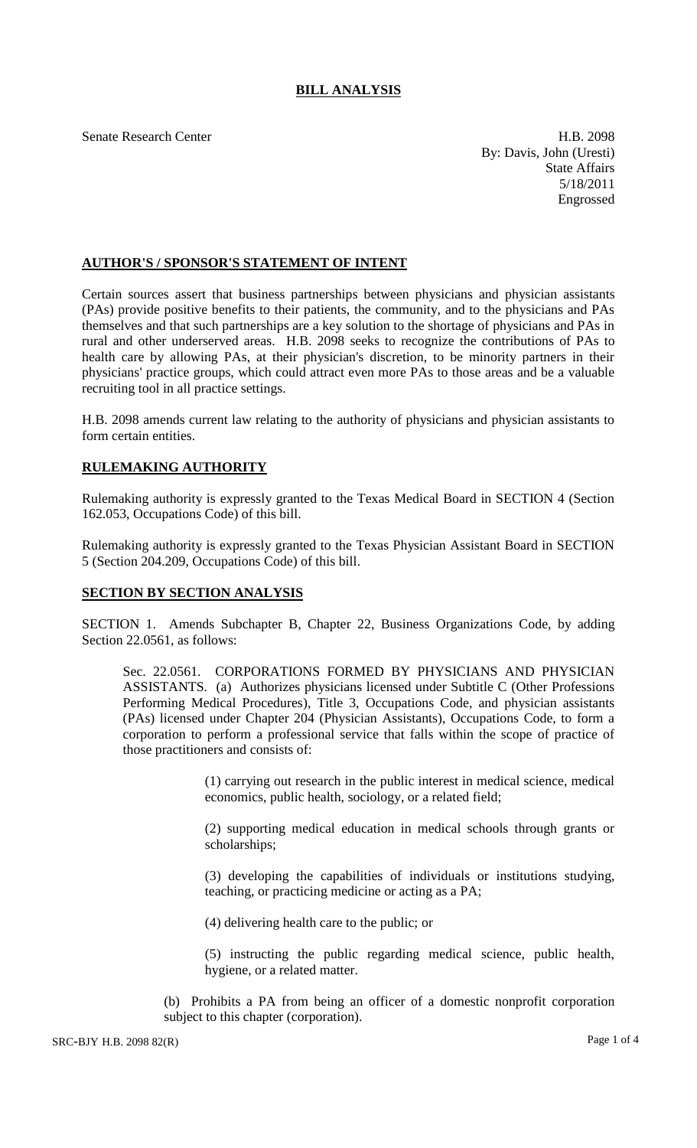## **BILL ANALYSIS**

Senate Research Center **H.B. 2098** By: Davis, John (Uresti) State Affairs 5/18/2011 Engrossed

## **AUTHOR'S / SPONSOR'S STATEMENT OF INTENT**

Certain sources assert that business partnerships between physicians and physician assistants (PAs) provide positive benefits to their patients, the community, and to the physicians and PAs themselves and that such partnerships are a key solution to the shortage of physicians and PAs in rural and other underserved areas. H.B. 2098 seeks to recognize the contributions of PAs to health care by allowing PAs, at their physician's discretion, to be minority partners in their physicians' practice groups, which could attract even more PAs to those areas and be a valuable recruiting tool in all practice settings.

H.B. 2098 amends current law relating to the authority of physicians and physician assistants to form certain entities.

## **RULEMAKING AUTHORITY**

Rulemaking authority is expressly granted to the Texas Medical Board in SECTION 4 (Section 162.053, Occupations Code) of this bill.

Rulemaking authority is expressly granted to the Texas Physician Assistant Board in SECTION 5 (Section 204.209, Occupations Code) of this bill.

## **SECTION BY SECTION ANALYSIS**

SECTION 1. Amends Subchapter B, Chapter 22, Business Organizations Code, by adding Section 22.0561, as follows:

Sec. 22.0561. CORPORATIONS FORMED BY PHYSICIANS AND PHYSICIAN ASSISTANTS. (a) Authorizes physicians licensed under Subtitle C (Other Professions Performing Medical Procedures), Title 3, Occupations Code, and physician assistants (PAs) licensed under Chapter 204 (Physician Assistants), Occupations Code, to form a corporation to perform a professional service that falls within the scope of practice of those practitioners and consists of:

> (1) carrying out research in the public interest in medical science, medical economics, public health, sociology, or a related field;

> (2) supporting medical education in medical schools through grants or scholarships;

> (3) developing the capabilities of individuals or institutions studying, teaching, or practicing medicine or acting as a PA;

(4) delivering health care to the public; or

(5) instructing the public regarding medical science, public health, hygiene, or a related matter.

(b) Prohibits a PA from being an officer of a domestic nonprofit corporation subject to this chapter (corporation).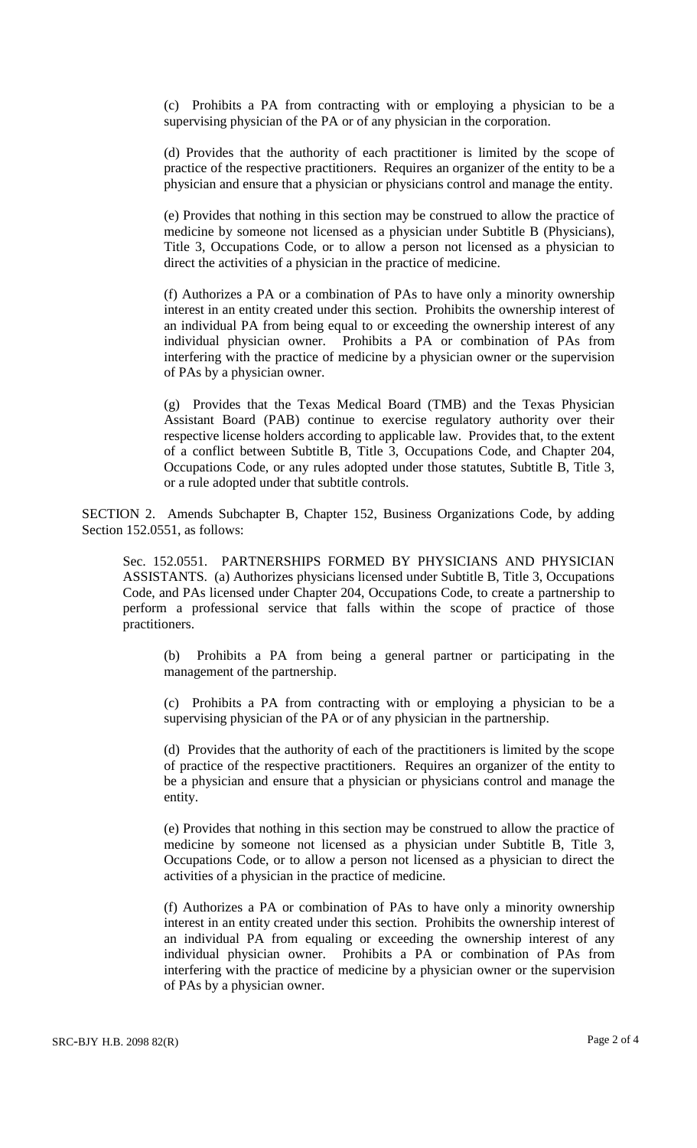(c) Prohibits a PA from contracting with or employing a physician to be a supervising physician of the PA or of any physician in the corporation.

(d) Provides that the authority of each practitioner is limited by the scope of practice of the respective practitioners. Requires an organizer of the entity to be a physician and ensure that a physician or physicians control and manage the entity.

(e) Provides that nothing in this section may be construed to allow the practice of medicine by someone not licensed as a physician under Subtitle B (Physicians), Title 3, Occupations Code, or to allow a person not licensed as a physician to direct the activities of a physician in the practice of medicine.

(f) Authorizes a PA or a combination of PAs to have only a minority ownership interest in an entity created under this section. Prohibits the ownership interest of an individual PA from being equal to or exceeding the ownership interest of any individual physician owner. Prohibits a PA or combination of PAs from interfering with the practice of medicine by a physician owner or the supervision of PAs by a physician owner.

(g) Provides that the Texas Medical Board (TMB) and the Texas Physician Assistant Board (PAB) continue to exercise regulatory authority over their respective license holders according to applicable law. Provides that, to the extent of a conflict between Subtitle B, Title 3, Occupations Code, and Chapter 204, Occupations Code, or any rules adopted under those statutes, Subtitle B, Title 3, or a rule adopted under that subtitle controls.

SECTION 2. Amends Subchapter B, Chapter 152, Business Organizations Code, by adding Section 152.0551, as follows:

Sec. 152.0551. PARTNERSHIPS FORMED BY PHYSICIANS AND PHYSICIAN ASSISTANTS. (a) Authorizes physicians licensed under Subtitle B, Title 3, Occupations Code, and PAs licensed under Chapter 204, Occupations Code, to create a partnership to perform a professional service that falls within the scope of practice of those practitioners.

(b) Prohibits a PA from being a general partner or participating in the management of the partnership.

(c) Prohibits a PA from contracting with or employing a physician to be a supervising physician of the PA or of any physician in the partnership.

(d) Provides that the authority of each of the practitioners is limited by the scope of practice of the respective practitioners. Requires an organizer of the entity to be a physician and ensure that a physician or physicians control and manage the entity.

(e) Provides that nothing in this section may be construed to allow the practice of medicine by someone not licensed as a physician under Subtitle B, Title 3, Occupations Code, or to allow a person not licensed as a physician to direct the activities of a physician in the practice of medicine.

(f) Authorizes a PA or combination of PAs to have only a minority ownership interest in an entity created under this section. Prohibits the ownership interest of an individual PA from equaling or exceeding the ownership interest of any individual physician owner. Prohibits a PA or combination of PAs from interfering with the practice of medicine by a physician owner or the supervision of PAs by a physician owner.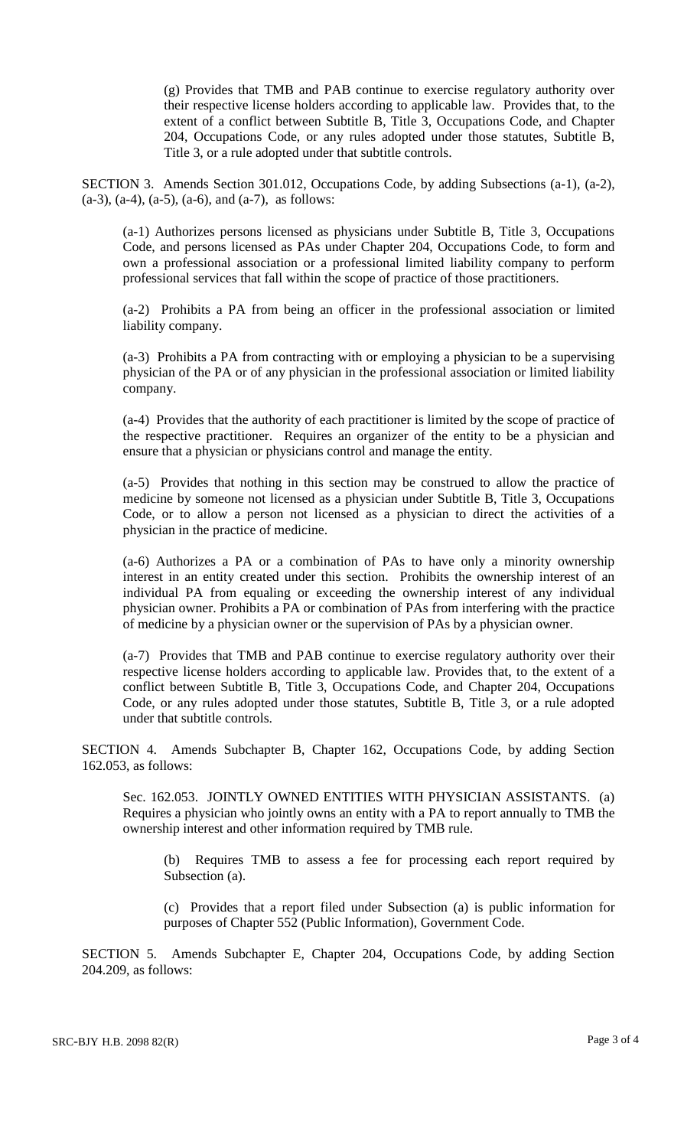(g) Provides that TMB and PAB continue to exercise regulatory authority over their respective license holders according to applicable law. Provides that, to the extent of a conflict between Subtitle B, Title 3, Occupations Code, and Chapter 204, Occupations Code, or any rules adopted under those statutes, Subtitle B, Title 3, or a rule adopted under that subtitle controls.

SECTION 3. Amends Section 301.012, Occupations Code, by adding Subsections (a-1), (a-2),  $(a-3)$ ,  $(a-4)$ ,  $(a-5)$ ,  $(a-6)$ , and  $(a-7)$ , as follows:

(a-1) Authorizes persons licensed as physicians under Subtitle B, Title 3, Occupations Code, and persons licensed as PAs under Chapter 204, Occupations Code, to form and own a professional association or a professional limited liability company to perform professional services that fall within the scope of practice of those practitioners.

(a-2) Prohibits a PA from being an officer in the professional association or limited liability company.

(a-3) Prohibits a PA from contracting with or employing a physician to be a supervising physician of the PA or of any physician in the professional association or limited liability company.

(a-4) Provides that the authority of each practitioner is limited by the scope of practice of the respective practitioner. Requires an organizer of the entity to be a physician and ensure that a physician or physicians control and manage the entity.

(a-5) Provides that nothing in this section may be construed to allow the practice of medicine by someone not licensed as a physician under Subtitle B, Title 3, Occupations Code, or to allow a person not licensed as a physician to direct the activities of a physician in the practice of medicine.

(a-6) Authorizes a PA or a combination of PAs to have only a minority ownership interest in an entity created under this section. Prohibits the ownership interest of an individual PA from equaling or exceeding the ownership interest of any individual physician owner. Prohibits a PA or combination of PAs from interfering with the practice of medicine by a physician owner or the supervision of PAs by a physician owner.

(a-7) Provides that TMB and PAB continue to exercise regulatory authority over their respective license holders according to applicable law. Provides that, to the extent of a conflict between Subtitle B, Title 3, Occupations Code, and Chapter 204, Occupations Code, or any rules adopted under those statutes, Subtitle B, Title 3, or a rule adopted under that subtitle controls.

SECTION 4. Amends Subchapter B, Chapter 162, Occupations Code, by adding Section 162.053, as follows:

Sec. 162.053. JOINTLY OWNED ENTITIES WITH PHYSICIAN ASSISTANTS. (a) Requires a physician who jointly owns an entity with a PA to report annually to TMB the ownership interest and other information required by TMB rule.

(b) Requires TMB to assess a fee for processing each report required by Subsection (a).

(c) Provides that a report filed under Subsection (a) is public information for purposes of Chapter 552 (Public Information), Government Code.

SECTION 5. Amends Subchapter E, Chapter 204, Occupations Code, by adding Section 204.209, as follows: